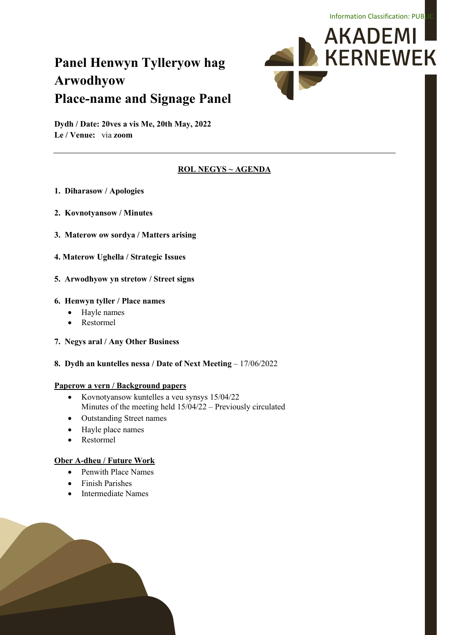# **Panel Henwyn Tylleryow hag Arwodhyow Place-name and Signage Panel**



**Dydh / Date: 20ves a vis Me, 20th May, 2022 Le / Venue:** via **zoom**

### **ROL NEGYS ~ AGENDA**

- **1. Diharasow / Apologies**
- **2. Kovnotyansow / Minutes**
- **3. Materow ow sordya / Matters arising**
- **4. Materow Ughella / Strategic Issues**
- **5. Arwodhyow yn stretow / Street signs**

### **6. Henwyn tyller / Place names**

- Hayle names
- Restormel
- **7. Negys aral / Any Other Business**
- **8. Dydh an kuntelles nessa / Date of Next Meeting**  17/06/2022

### **Paperow a vern / Background papers**

- Kovnotyansow kuntelles a veu synsys 15/04/22 Minutes of the meeting held 15/04/22 – Previously circulated
- Outstanding Street names
- Hayle place names
- Restormel

### **Ober A-dheu / Future Work**

- Penwith Place Names
- Finish Parishes
- Intermediate Names

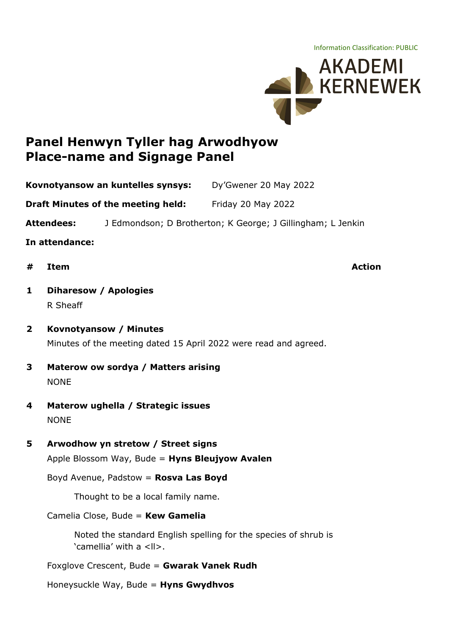Information Classification: PUBLIC



# **Panel Henwyn Tyller hag Arwodhyow Place-name and Signage Panel**

**Kovnotyansow an kuntelles synsys:** Dy'Gwener 20 May 2022

**Draft Minutes of the meeting held:** Friday 20 May 2022

**Attendees:** J Edmondson; D Brotherton; K George; J Gillingham; L Jenkin

**In attendance:**

**# Item Action**

# **1 Diharesow / Apologies** R Sheaff

- **2 Kovnotyansow / Minutes** Minutes of the meeting dated 15 April 2022 were read and agreed.
- **3 Materow ow sordya / Matters arising NONE**
- **4 Materow ughella / Strategic issues NONE**
- **5 Arwodhow yn stretow / Street signs**

Apple Blossom Way, Bude = **Hyns Bleujyow Avalen**

Boyd Avenue, Padstow = **Rosva Las Boyd**

Thought to be a local family name.

Camelia Close, Bude = **Kew Gamelia**

Noted the standard English spelling for the species of shrub is 'camellia' with a <ll>.

Foxglove Crescent, Bude = **Gwarak Vanek Rudh**

Honeysuckle Way, Bude = **Hyns Gwydhvos**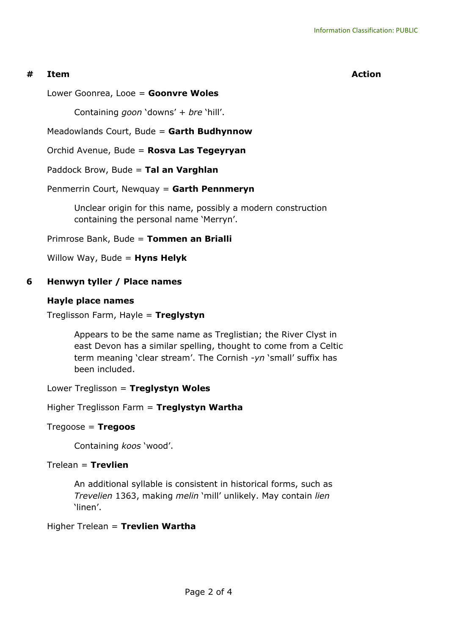### **# Item Action**

Lower Goonrea, Looe = **Goonvre Woles**

Containing *goon* 'downs' + *bre* 'hill'.

Meadowlands Court, Bude = **Garth Budhynnow**

Orchid Avenue, Bude = **Rosva Las Tegeyryan**

Paddock Brow, Bude = **Tal an Varghlan**

Penmerrin Court, Newquay = **Garth Pennmeryn**

Unclear origin for this name, possibly a modern construction containing the personal name 'Merryn'.

Primrose Bank, Bude = **Tommen an Brialli**

Willow Way, Bude = **Hyns Helyk**

## **6 Henwyn tyller / Place names**

### **Hayle place names**

Treglisson Farm, Hayle = **Treglystyn**

Appears to be the same name as Treglistian; the River Clyst in east Devon has a similar spelling, thought to come from a Celtic term meaning 'clear stream'. The Cornish -*yn* 'small' suffix has been included.

Lower Treglisson = **Treglystyn Woles**

Higher Treglisson Farm = **Treglystyn Wartha**

### Tregoose = **Tregoos**

Containing *koos* 'wood'.

### Trelean = **Trevlien**

An additional syllable is consistent in historical forms, such as *Trevelien* 1363, making *melin* 'mill' unlikely. May contain *lien* 'linen'.

Higher Trelean = **Trevlien Wartha**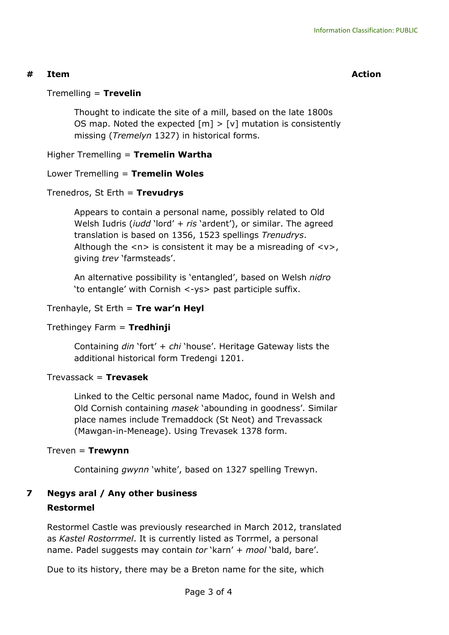### **# Item Action**

### Tremelling = **Trevelin**

Thought to indicate the site of a mill, based on the late 1800s OS map. Noted the expected  $[m] > [v]$  mutation is consistently missing (*Tremelyn* 1327) in historical forms.

### Higher Tremelling = **Tremelin Wartha**

## Lower Tremelling = **Tremelin Woles**

### Trenedros, St Erth = **Trevudrys**

Appears to contain a personal name, possibly related to Old Welsh Iudris (*iudd* 'lord' + *ris* 'ardent'), or similar. The agreed translation is based on 1356, 1523 spellings *Trenudrys*. Although the  $\langle n \rangle$  is consistent it may be a misreading of  $\langle v \rangle$ , giving *trev* 'farmsteads'.

An alternative possibility is 'entangled', based on Welsh *nidro* 'to entangle' with Cornish <-ys> past participle suffix.

### Trenhayle, St Erth = **Tre war'n Heyl**

### Trethingey Farm = **Tredhinji**

Containing *din* 'fort' + *chi* 'house'. Heritage Gateway lists the additional historical form Tredengi 1201.

### Trevassack = **Trevasek**

Linked to the Celtic personal name Madoc, found in Welsh and Old Cornish containing *masek* 'abounding in goodness'. Similar place names include Tremaddock (St Neot) and Trevassack (Mawgan-in-Meneage). Using Trevasek 1378 form.

### Treven = **Trewynn**

Containing *gwynn* 'white', based on 1327 spelling Trewyn.

# **7 Negys aral / Any other business Restormel**

Restormel Castle was previously researched in March 2012, translated as *Kastel Rostorrmel*. It is currently listed as Torrmel, a personal name. Padel suggests may contain *tor* 'karn' + *mool* 'bald, bare'.

Due to its history, there may be a Breton name for the site, which